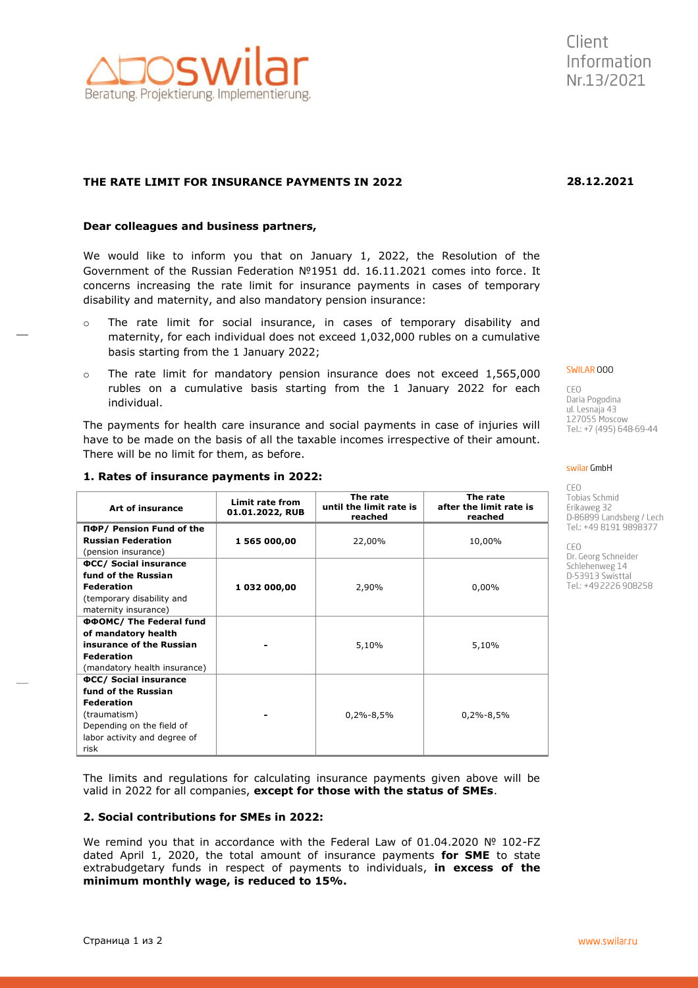**of mandatory health insurance of the Russian**

(mandatory health insurance)

**ФСС/ Social insurance fund of the Russian Federation** (traumatism)

Depending on the field of labor activity and degree of

**Federation**

risk

## **THE RATE LIMIT FOR INSURANCE PAYMENTS IN 2022**

#### **Dear colleagues and business partners,**

We would like to inform you that on January 1, 2022, the Resolution of the Government of the Russian Federation №1951 dd. 16.11.2021 comes into force. It concerns increasing the rate limit for insurance payments in cases of temporary disability and maternity, and also mandatory pension insurance:

- o The rate limit for social insurance, in cases of temporary disability and maternity, for each individual does not exceed 1,032,000 rubles on a cumulative basis starting from the 1 January 2022;
- $\circ$  The rate limit for mandatory pension insurance does not exceed 1,565,000 rubles on a cumulative basis starting from the 1 January 2022 for each individual.

The payments for health care insurance and social payments in case of injuries will have to be made on the basis of all the taxable incomes irrespective of their amount. There will be no limit for them, as before.

| 1. Rates of msurance payments in 2022. |                                    |                                                |                                                |
|----------------------------------------|------------------------------------|------------------------------------------------|------------------------------------------------|
| Art of insurance                       | Limit rate from<br>01.01.2022, RUB | The rate<br>until the limit rate is<br>reached | The rate<br>after the limit rate is<br>reached |
| ПФР/ Pension Fund of the               |                                    |                                                |                                                |
| <b>Russian Federation</b>              | 1 565 000,00                       | 22,00%                                         | 10,00%                                         |
| (pension insurance)                    |                                    |                                                |                                                |
| <b>OCC/ Social insurance</b>           |                                    |                                                |                                                |
| fund of the Russian                    |                                    |                                                |                                                |
| <b>Federation</b>                      | 1 032 000,00                       | 2.90%                                          | $0.00\%$                                       |
| (temporary disability and              |                                    |                                                |                                                |
| maternity insurance)                   |                                    |                                                |                                                |
| ΦΦΟΜC/ The Federal fund                |                                    |                                                |                                                |

### **1. Rates of insurance payments in 2022:**

The limits and regulations for calculating insurance payments given above will be valid in 2022 for all companies, **except for those with the status of SMEs**.

**-** 5,10% 5,10%

**-** 0,2%-8,5% 0,2%-8,5%

#### **2. Social contributions for SMEs in 2022:**

We remind you that in accordance with the Federal Law of 01.04.2020 Nº 102-FZ dated April 1, 2020, the total amount of insurance payments **for SME** to state extrabudgetary funds in respect of payments to individuals, **in excess of the minimum monthly wage, is reduced to 15%.**

# SWILAR 000

CEO Daria Pogodina ul. Lesnaja 43<br>127055 Moscow Tel.: +7 (495) 648-69-44

CEO Tobias Schmid Erikaweg 32 D-86899 Landsberg / Lech Tel.: +49 8191 9898377

CEO Dr. Georg Schneider Schlehenweg 14 D-53913 Swisttal Tel.: +49 2226 908258



**28.12.2021**

# swilar GmbH